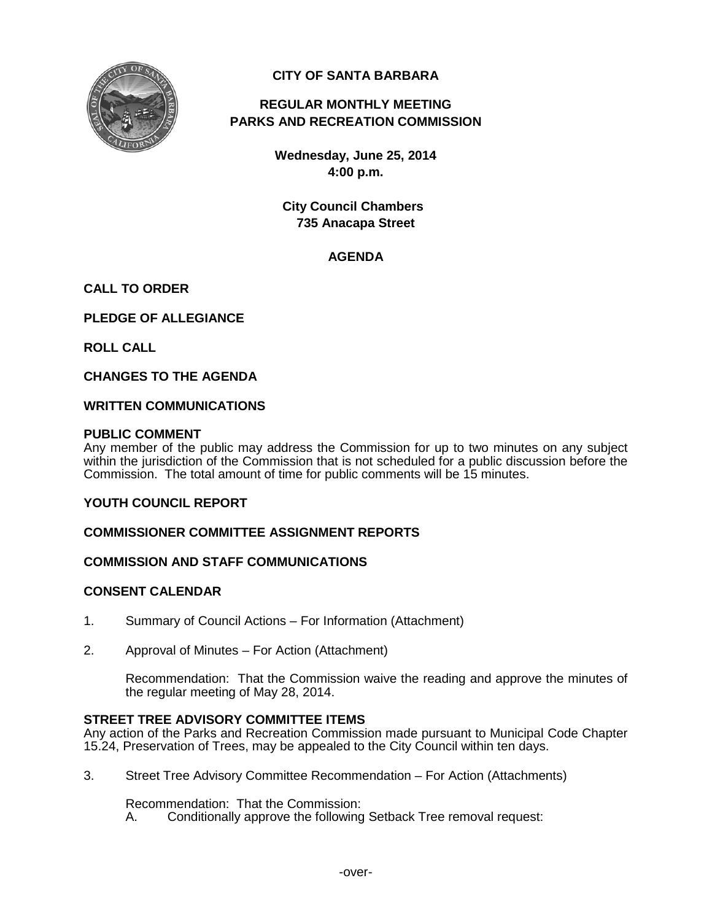

# **CITY OF SANTA BARBARA**

# **REGULAR MONTHLY MEETING PARKS AND RECREATION COMMISSION**

**Wednesday, June 25, 2014 4:00 p.m.**

**City Council Chambers 735 Anacapa Street**

# **AGENDA**

# **CALL TO ORDER**

**PLEDGE OF ALLEGIANCE**

**ROLL CALL**

**CHANGES TO THE AGENDA**

#### **WRITTEN COMMUNICATIONS**

#### **PUBLIC COMMENT**

Any member of the public may address the Commission for up to two minutes on any subject within the jurisdiction of the Commission that is not scheduled for a public discussion before the Commission. The total amount of time for public comments will be 15 minutes.

**YOUTH COUNCIL REPORT**

## **COMMISSIONER COMMITTEE ASSIGNMENT REPORTS**

#### **COMMISSION AND STAFF COMMUNICATIONS**

#### **CONSENT CALENDAR**

- 1. Summary of Council Actions For Information (Attachment)
- 2. Approval of Minutes For Action (Attachment)

Recommendation: That the Commission waive the reading and approve the minutes of the regular meeting of May 28, 2014.

#### **STREET TREE ADVISORY COMMITTEE ITEMS**

Any action of the Parks and Recreation Commission made pursuant to Municipal Code Chapter 15.24, Preservation of Trees, may be appealed to the City Council within ten days.

3. Street Tree Advisory Committee Recommendation – For Action (Attachments)

Recommendation: That the Commission:<br>A. Conditionally approve the following

Conditionally approve the following Setback Tree removal request: